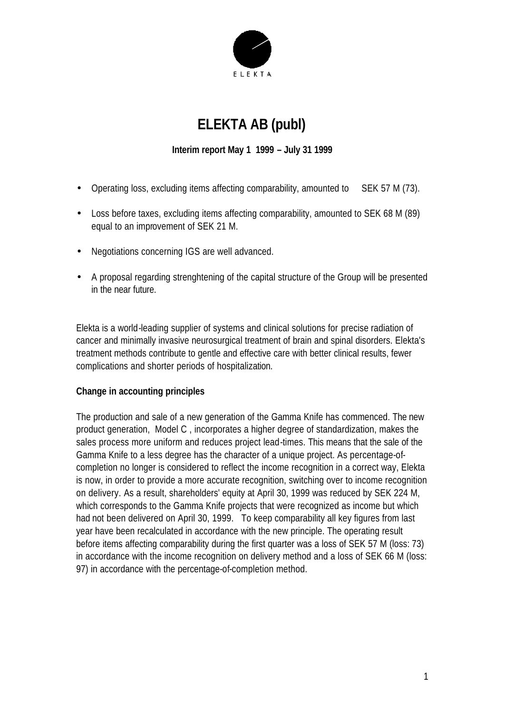

# **ELEKTA AB (publ)**

## **Interim report May 1 1999 – July 31 1999**

- Operating loss, excluding items affecting comparability, amounted to SEK 57 M (73).
- Loss before taxes, excluding items affecting comparability, amounted to SEK 68 M (89) equal to an improvement of SEK 21 M.
- Negotiations concerning IGS are well advanced.
- A proposal regarding strenghtening of the capital structure of the Group will be presented in the near future.

Elekta is a world-leading supplier of systems and clinical solutions for precise radiation of cancer and minimally invasive neurosurgical treatment of brain and spinal disorders. Elekta's treatment methods contribute to gentle and effective care with better clinical results, fewer complications and shorter periods of hospitalization.

## **Change in accounting principles**

The production and sale of a new generation of the Gamma Knife has commenced. The new product generation, Model C , incorporates a higher degree of standardization, makes the sales process more uniform and reduces project lead-times. This means that the sale of the Gamma Knife to a less degree has the character of a unique project. As percentage-ofcompletion no longer is considered to reflect the income recognition in a correct way, Elekta is now, in order to provide a more accurate recognition, switching over to income recognition on delivery. As a result, shareholders' equity at April 30, 1999 was reduced by SEK 224 M, which corresponds to the Gamma Knife projects that were recognized as income but which had not been delivered on April 30, 1999. To keep comparability all key figures from last year have been recalculated in accordance with the new principle. The operating result before items affecting comparability during the first quarter was a loss of SEK 57 M (loss: 73) in accordance with the income recognition on delivery method and a loss of SEK 66 M (loss: 97) in accordance with the percentage-of-completion method.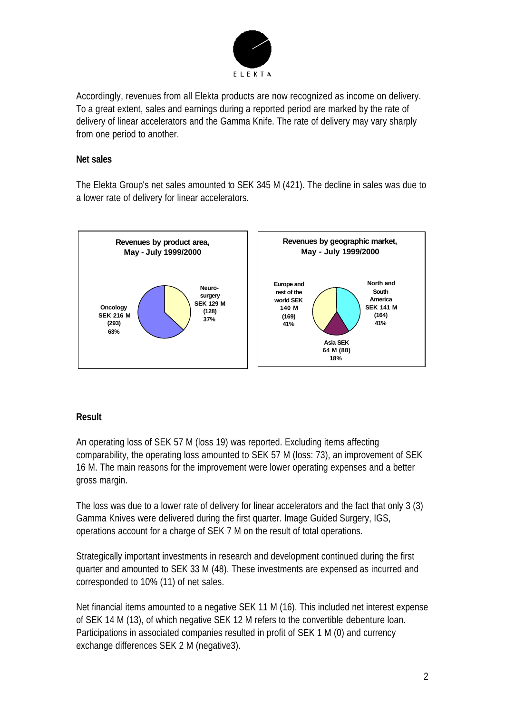

Accordingly, revenues from all Elekta products are now recognized as income on delivery. To a great extent, sales and earnings during a reported period are marked by the rate of delivery of linear accelerators and the Gamma Knife. The rate of delivery may vary sharply from one period to another.

#### **Net sales**

The Elekta Group's net sales amounted to SEK 345 M (421). The decline in sales was due to a lower rate of delivery for linear accelerators.



## **Result**

An operating loss of SEK 57 M (loss 19) was reported. Excluding items affecting comparability, the operating loss amounted to SEK 57 M (loss: 73), an improvement of SEK 16 M. The main reasons for the improvement were lower operating expenses and a better gross margin.

The loss was due to a lower rate of delivery for linear accelerators and the fact that only 3 (3) Gamma Knives were delivered during the first quarter. Image Guided Surgery, IGS, operations account for a charge of SEK 7 M on the result of total operations.

Strategically important investments in research and development continued during the first quarter and amounted to SEK 33 M (48). These investments are expensed as incurred and corresponded to 10% (11) of net sales.

Net financial items amounted to a negative SEK 11 M (16). This included net interest expense of SEK 14 M (13), of which negative SEK 12 M refers to the convertible debenture loan. Participations in associated companies resulted in profit of SEK 1 M (0) and currency exchange differences SEK 2 M (negative3).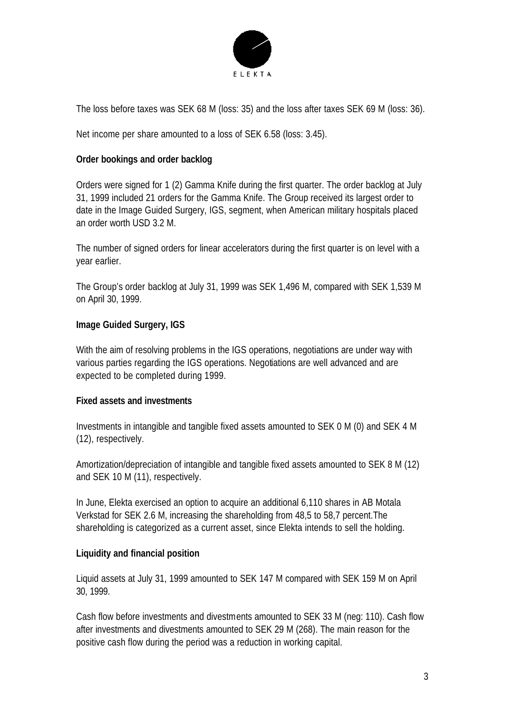

The loss before taxes was SEK 68 M (loss: 35) and the loss after taxes SEK 69 M (loss: 36).

Net income per share amounted to a loss of SEK 6.58 (loss: 3.45).

#### **Order bookings and order backlog**

Orders were signed for 1 (2) Gamma Knife during the first quarter. The order backlog at July 31, 1999 included 21 orders for the Gamma Knife. The Group received its largest order to date in the Image Guided Surgery, IGS, segment, when American military hospitals placed an order worth USD 3.2 M.

The number of signed orders for linear accelerators during the first quarter is on level with a year earlier.

The Group's order backlog at July 31, 1999 was SEK 1,496 M, compared with SEK 1,539 M on April 30, 1999.

#### **Image Guided Surgery, IGS**

With the aim of resolving problems in the IGS operations, negotiations are under way with various parties regarding the IGS operations. Negotiations are well advanced and are expected to be completed during 1999.

#### **Fixed assets and investments**

Investments in intangible and tangible fixed assets amounted to SEK 0 M (0) and SEK 4 M (12), respectively.

Amortization/depreciation of intangible and tangible fixed assets amounted to SEK 8 M (12) and SEK 10 M (11), respectively.

In June, Elekta exercised an option to acquire an additional 6,110 shares in AB Motala Verkstad for SEK 2.6 M, increasing the shareholding from 48,5 to 58,7 percent.The shareholding is categorized as a current asset, since Elekta intends to sell the holding.

## **Liquidity and financial position**

Liquid assets at July 31, 1999 amounted to SEK 147 M compared with SEK 159 M on April 30, 1999.

Cash flow before investments and divestments amounted to SEK 33 M (neg: 110). Cash flow after investments and divestments amounted to SEK 29 M (268). The main reason for the positive cash flow during the period was a reduction in working capital.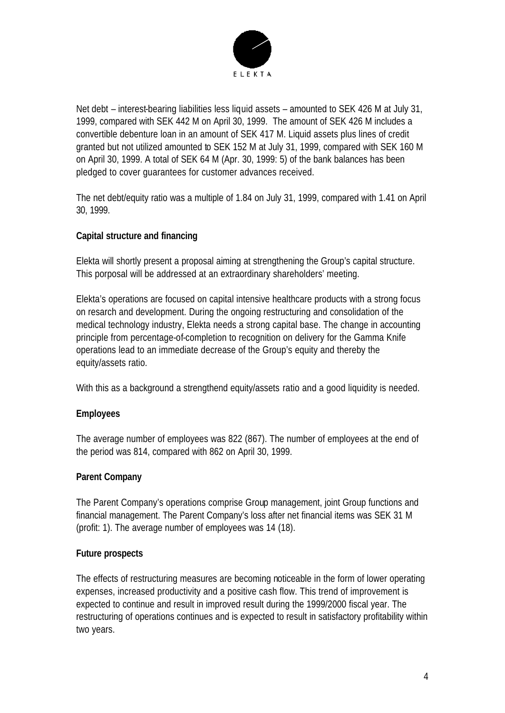

Net debt – interest-bearing liabilities less liquid assets – amounted to SEK 426 M at July 31, 1999, compared with SEK 442 M on April 30, 1999. The amount of SEK 426 M includes a convertible debenture loan in an amount of SEK 417 M. Liquid assets plus lines of credit granted but not utilized amounted to SEK 152 M at July 31, 1999, compared with SEK 160 M on April 30, 1999. A total of SEK 64 M (Apr. 30, 1999: 5) of the bank balances has been pledged to cover guarantees for customer advances received.

The net debt/equity ratio was a multiple of 1.84 on July 31, 1999, compared with 1.41 on April 30, 1999.

## **Capital structure and financing**

Elekta will shortly present a proposal aiming at strengthening the Group's capital structure. This porposal will be addressed at an extraordinary shareholders' meeting.

Elekta's operations are focused on capital intensive healthcare products with a strong focus on resarch and development. During the ongoing restructuring and consolidation of the medical technology industry, Elekta needs a strong capital base. The change in accounting principle from percentage-of-completion to recognition on delivery for the Gamma Knife operations lead to an immediate decrease of the Group's equity and thereby the equity/assets ratio.

With this as a background a strengthend equity/assets ratio and a good liquidity is needed.

# **Employees**

The average number of employees was 822 (867). The number of employees at the end of the period was 814, compared with 862 on April 30, 1999.

# **Parent Company**

The Parent Company's operations comprise Group management, joint Group functions and financial management. The Parent Company's loss after net financial items was SEK 31 M (profit: 1). The average number of employees was 14 (18).

## **Future prospects**

The effects of restructuring measures are becoming noticeable in the form of lower operating expenses, increased productivity and a positive cash flow. This trend of improvement is expected to continue and result in improved result during the 1999/2000 fiscal year. The restructuring of operations continues and is expected to result in satisfactory profitability within two years.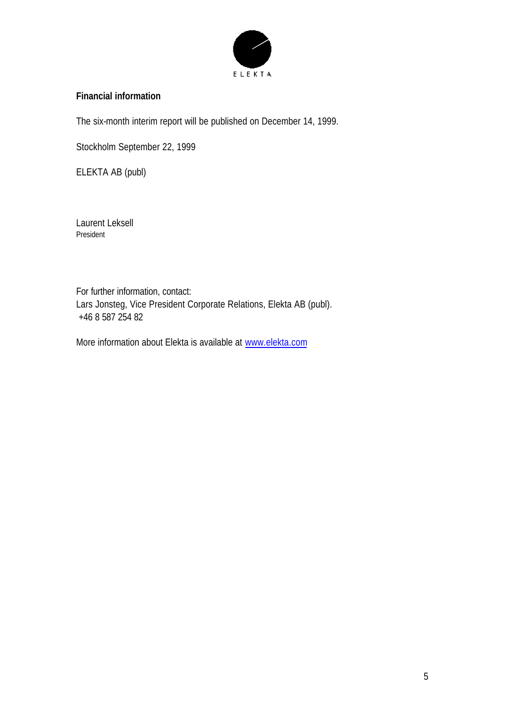

## **Financial information**

The six-month interim report will be published on December 14, 1999.

Stockholm September 22, 1999

ELEKTA AB (publ)

Laurent Leksell President

For further information, contact: Lars Jonsteg, Vice President Corporate Relations, Elekta AB (publ). +46 8 587 254 82

More information about Elekta is available at www.elekta.com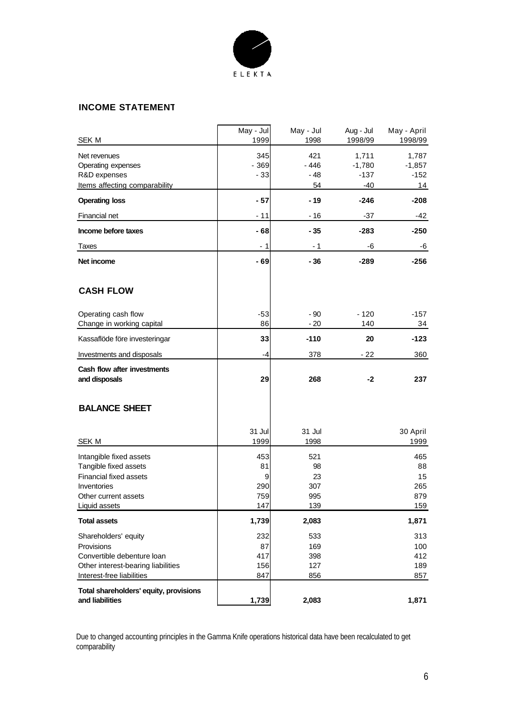

#### **INCOME STATEMENT**

| <b>SEK M</b>                                                                                                                              | May - Jul<br>1999                   | May - Jul<br>1998                    | Aug - Jul<br>1998/99                 | May - April<br>1998/99                      |
|-------------------------------------------------------------------------------------------------------------------------------------------|-------------------------------------|--------------------------------------|--------------------------------------|---------------------------------------------|
| Net revenues<br>Operating expenses<br>R&D expenses<br>Items affecting comparability                                                       | 345<br>$-369$<br>$-33$              | 421<br>$-446$<br>$-48$<br>54         | 1,711<br>$-1,780$<br>$-137$<br>$-40$ | 1,787<br>$-1,857$<br>$-152$<br>14           |
| <b>Operating loss</b>                                                                                                                     | - 57                                | - 19                                 | $-246$                               | -208                                        |
| Financial net                                                                                                                             | $-11$                               | $-16$                                | $-37$                                | -42                                         |
| Income before taxes                                                                                                                       | - 68                                | $-35$                                | $-283$                               | $-250$                                      |
| Taxes                                                                                                                                     | - 1                                 | - 1                                  | -6                                   | -6                                          |
| Net income                                                                                                                                | - 69                                | - 36                                 | $-289$                               | -256                                        |
| <b>CASH FLOW</b>                                                                                                                          |                                     |                                      |                                      |                                             |
| Operating cash flow<br>Change in working capital                                                                                          | $-53$<br>86                         | $-90$<br>$-20$                       | $-120$<br>140                        | $-157$<br>34                                |
| Kassaflöde före investeringar                                                                                                             | 33                                  | $-110$                               | 20                                   | $-123$                                      |
| Investments and disposals                                                                                                                 | -4                                  | 378                                  | $-22$                                | 360                                         |
| Cash flow after investments<br>and disposals                                                                                              | 29                                  | 268                                  | -2                                   | 237                                         |
| <b>BALANCE SHEET</b>                                                                                                                      |                                     |                                      |                                      |                                             |
| <b>SEK M</b>                                                                                                                              | 31 Jul<br>1999                      | 31 Jul<br>1998                       |                                      | 30 April<br>1999                            |
| Intangible fixed assets<br>Tangible fixed assets<br><b>Financial fixed assets</b><br>Inventories<br>Other current assets<br>Liquid assets | 453<br>81<br>9<br>290<br>759<br>147 | 521<br>98<br>23<br>307<br>995<br>139 |                                      | 465<br>88<br>15<br>265<br>879<br><u>159</u> |
| <b>Total assets</b>                                                                                                                       | 1,739                               | 2,083                                |                                      | 1,871                                       |
| Shareholders' equity<br>Provisions<br>Convertible debenture loan<br>Other interest-bearing liabilities<br>Interest-free liabilities       | 232<br>87<br>417<br>156<br>847      | 533<br>169<br>398<br>127<br>856      |                                      | 313<br>100<br>412<br>189<br>857             |
| Total shareholders' equity, provisions<br>and liabilities                                                                                 | 1,739                               | 2,083                                |                                      | 1,871                                       |

Due to changed accounting principles in the Gamma Knife operations historical data have been recalculated to get comparability